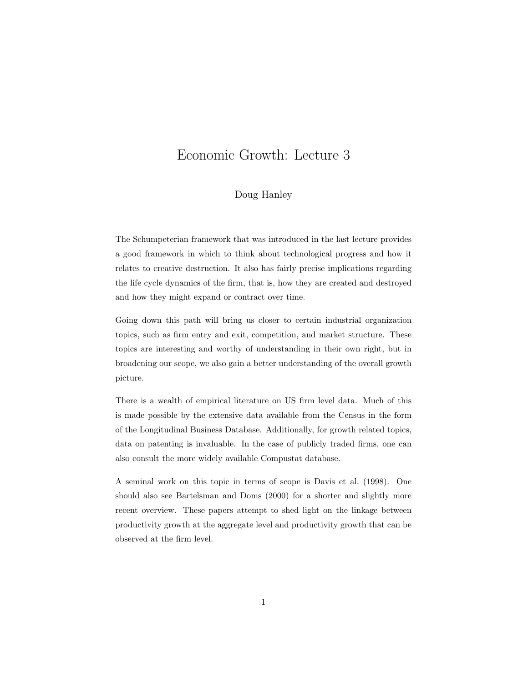# Economic Growth: Lecture 3

#### Doug Hanley

The Schumpeterian framework that was introduced in the last lecture provides a good framework in which to think about technological progress and how it relates to creative destruction. It also has fairly precise implications regarding the life cycle dynamics of the firm, that is, how they are created and destroyed and how they might expand or contract over time.

Going down this path will bring us closer to certain industrial organization topics, such as firm entry and exit, competition, and market structure. These topics are interesting and worthy of understanding in their own right, but in broadening our scope, we also gain a better understanding of the overall growth picture.

There is a wealth of empirical literature on US firm level data. Much of this is made possible by the extensive data available from the Census in the form of the Longitudinal Business Database. Additionally, for growth related topics, data on patenting is invaluable. In the case of publicly traded firms, one can also consult the more widely available Compustat database.

A seminal work on this topic in terms of scope is Davis et al. (1998). One should also see Bartelsman and Doms (2000) for a shorter and slightly more recent overview. These papers attempt to shed light on the linkage between productivity growth at the aggregate level and productivity growth that can be observed at the firm level.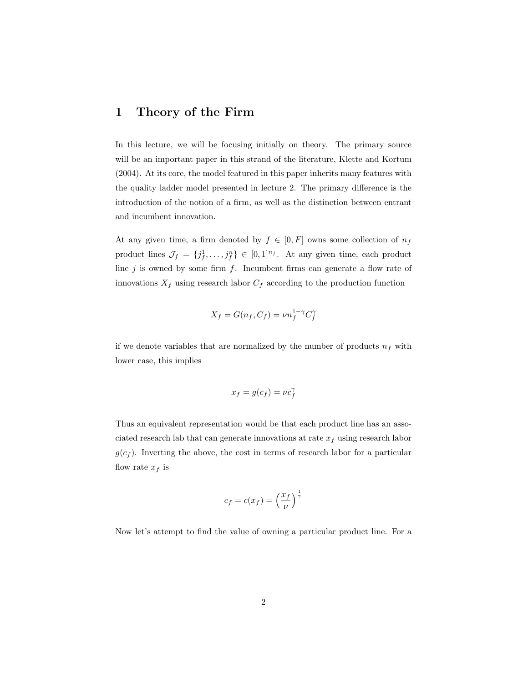# 1 Theory of the Firm

In this lecture, we will be focusing initially on theory. The primary source will be an important paper in this strand of the literature, Klette and Kortum (2004). At its core, the model featured in this paper inherits many features with the quality ladder model presented in lecture 2. The primary difference is the introduction of the notion of a firm, as well as the distinction between entrant and incumbent innovation.

At any given time, a firm denoted by  $f \in [0, F]$  owns some collection of  $n_f$ product lines  $\mathcal{J}_f = \{j_f^1, \ldots, j_f^n\} \in [0,1]^{n_f}$ . At any given time, each product line  $j$  is owned by some firm  $f$ . Incumbent firms can generate a flow rate of innovations  $X_f$  using research labor  $C_f$  according to the production function

$$
X_f = G(n_f, C_f) = \nu n_f^{1-\gamma} C_f^{\gamma}
$$

if we denote variables that are normalized by the number of products  $n_f$  with lower case, this implies

$$
x_f = g(c_f) = \nu c_f^{\gamma}
$$

Thus an equivalent representation would be that each product line has an associated research lab that can generate innovations at rate  $x_f$  using research labor  $g(c_f)$ . Inverting the above, the cost in terms of research labor for a particular flow rate  $x_f$  is

$$
c_f = c(x_f) = \left(\frac{x_f}{\nu}\right)^{\frac{1}{\gamma}}
$$

Now let's attempt to find the value of owning a particular product line. For a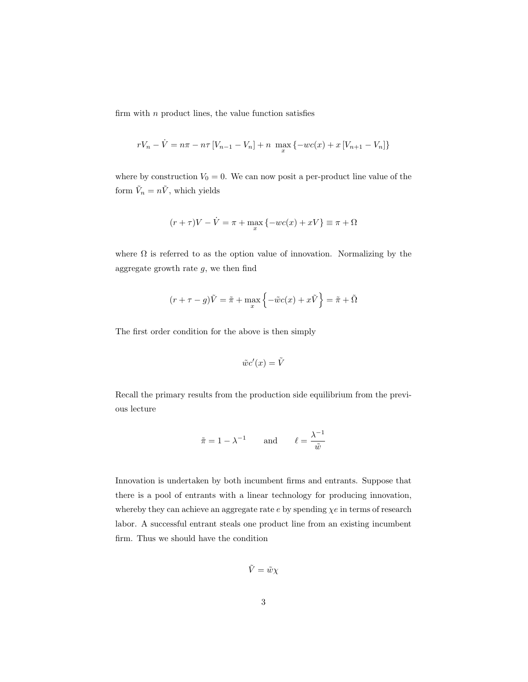firm with  $n$  product lines, the value function satisfies

$$
rV_n - \dot{V} = n\pi - n\tau \left[ V_{n-1} - V_n \right] + n \max_x \{-wc(x) + x \left[ V_{n+1} - V_n \right] \}
$$

where by construction  $V_0 = 0$ . We can now posit a per-product line value of the form  $\tilde{V}_n = n\tilde{V}$ , which yields

$$
(r + \tau)V - \dot{V} = \pi + \max_{x} \{-wc(x) + xV\} \equiv \pi + \Omega
$$

where  $\Omega$  is referred to as the option value of innovation. Normalizing by the aggregate growth rate  $g$ , we then find

$$
(r + \tau - g)\tilde{V} = \tilde{\pi} + \max_{x} \left\{-\tilde{w}c(x) + x\tilde{V}\right\} = \tilde{\pi} + \tilde{\Omega}
$$

The first order condition for the above is then simply

$$
\tilde{w}c'(x) = \tilde{V}
$$

Recall the primary results from the production side equilibrium from the previous lecture

$$
\tilde{\pi} = 1 - \lambda^{-1}
$$
 and  $\ell = \frac{\lambda^{-1}}{\tilde{w}}$ 

Innovation is undertaken by both incumbent firms and entrants. Suppose that there is a pool of entrants with a linear technology for producing innovation, whereby they can achieve an aggregate rate  $e$  by spending  $\chi e$  in terms of research labor. A successful entrant steals one product line from an existing incumbent firm. Thus we should have the condition

$$
\tilde{V} = \tilde{w}\chi
$$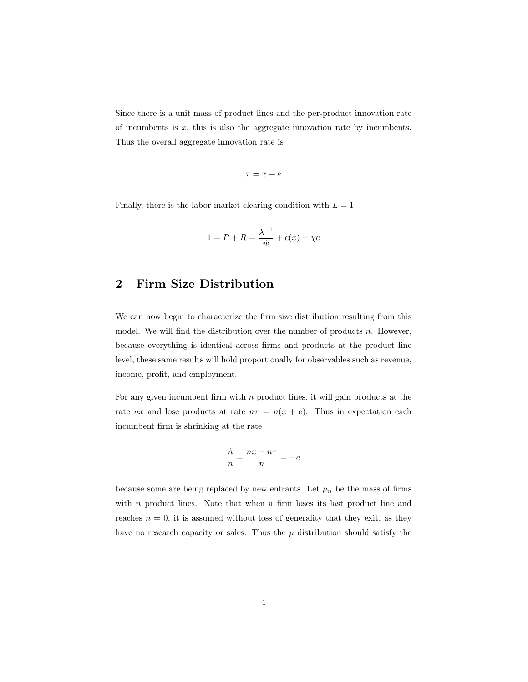Since there is a unit mass of product lines and the per-product innovation rate of incumbents is  $x$ , this is also the aggregate innovation rate by incumbents. Thus the overall aggregate innovation rate is

$$
\tau=x+e
$$

Finally, there is the labor market clearing condition with  $L = 1$ 

$$
1 = P + R = \frac{\lambda^{-1}}{\tilde{w}} + c(x) + \chi e
$$

# 2 Firm Size Distribution

We can now begin to characterize the firm size distribution resulting from this model. We will find the distribution over the number of products  $n$ . However, because everything is identical across firms and products at the product line level, these same results will hold proportionally for observables such as revenue, income, profit, and employment.

For any given incumbent firm with  $n$  product lines, it will gain products at the rate nx and lose products at rate  $n\tau = n(x + e)$ . Thus in expectation each incumbent firm is shrinking at the rate

$$
\frac{\dot{n}}{n} = \frac{nx - n\tau}{n} = -e
$$

because some are being replaced by new entrants. Let  $\mu_n$  be the mass of firms with  $n$  product lines. Note that when a firm loses its last product line and reaches  $n = 0$ , it is assumed without loss of generality that they exit, as they have no research capacity or sales. Thus the  $\mu$  distribution should satisfy the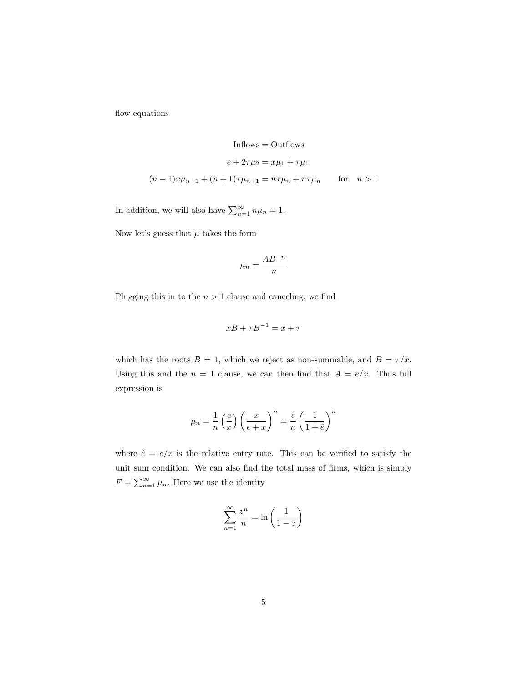flow equations

$$
\text{Inflows} = \text{Outflows}
$$
\n
$$
e + 2\tau\mu_2 = x\mu_1 + \tau\mu_1
$$
\n
$$
(n-1)x\mu_{n-1} + (n+1)\tau\mu_{n+1} = nx\mu_n + n\tau\mu_n \qquad \text{for} \quad n > 1
$$

In addition, we will also have  $\sum_{n=1}^{\infty} n \mu_n = 1$ .

Now let's guess that  $\mu$  takes the form

$$
\mu_n = \frac{AB^{-n}}{n}
$$

Plugging this in to the  $n > 1$  clause and canceling, we find

$$
xB + \tau B^{-1} = x + \tau
$$

which has the roots  $B = 1$ , which we reject as non-summable, and  $B = \tau/x$ . Using this and the  $n = 1$  clause, we can then find that  $A = e/x$ . Thus full expression is

$$
\mu_n = \frac{1}{n} \left(\frac{e}{x}\right) \left(\frac{x}{e+x}\right)^n = \frac{\hat{e}}{n} \left(\frac{1}{1+\hat{e}}\right)^n
$$

where  $\hat{e} = e/x$  is the relative entry rate. This can be verified to satisfy the unit sum condition. We can also find the total mass of firms, which is simply  $F = \sum_{n=1}^{\infty} \mu_n$ . Here we use the identity

$$
\sum_{n=1}^{\infty} \frac{z^n}{n} = \ln\left(\frac{1}{1-z}\right)
$$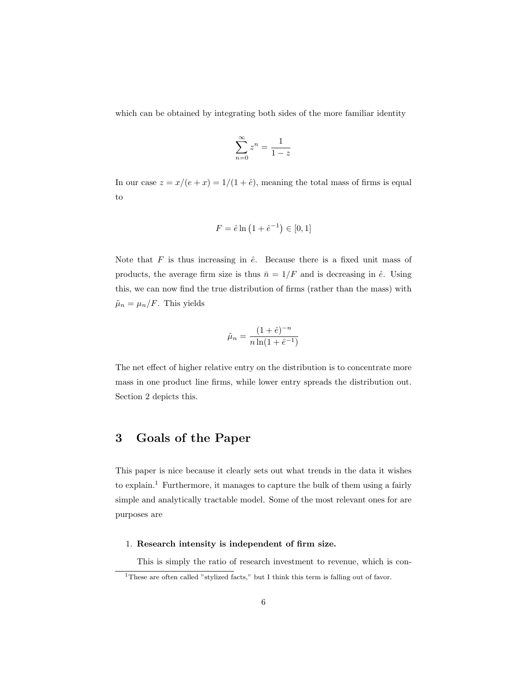which can be obtained by integrating both sides of the more familiar identity

$$
\sum_{n=0}^{\infty} z^n = \frac{1}{1-z}
$$

In our case  $z = x/(e + x) = 1/(1 + \hat{e})$ , meaning the total mass of firms is equal to

$$
F = \hat{e} \ln \left( 1 + \hat{e}^{-1} \right) \in [0, 1]
$$

Note that  $F$  is thus increasing in  $\hat{e}$ . Because there is a fixed unit mass of products, the average firm size is thus  $\bar{n} = 1/F$  and is decreasing in  $\hat{e}$ . Using this, we can now find the true distribution of firms (rather than the mass) with  $\tilde{\mu}_n = \mu_n/F$ . This yields

$$
\tilde{\mu}_n = \frac{(1+\hat{e})^{-n}}{n \ln(1+\hat{e}^{-1})}
$$

The net effect of higher relative entry on the distribution is to concentrate more mass in one product line firms, while lower entry spreads the distribution out. Section 2 depicts this.

# 3 Goals of the Paper

This paper is nice because it clearly sets out what trends in the data it wishes to explain.<sup>1</sup> Furthermore, it manages to capture the bulk of them using a fairly simple and analytically tractable model. Some of the most relevant ones for are purposes are

#### 1. Research intensity is independent of firm size.

This is simply the ratio of research investment to revenue, which is con-

<sup>&</sup>lt;sup>1</sup>These are often called "stylized facts," but I think this term is falling out of favor.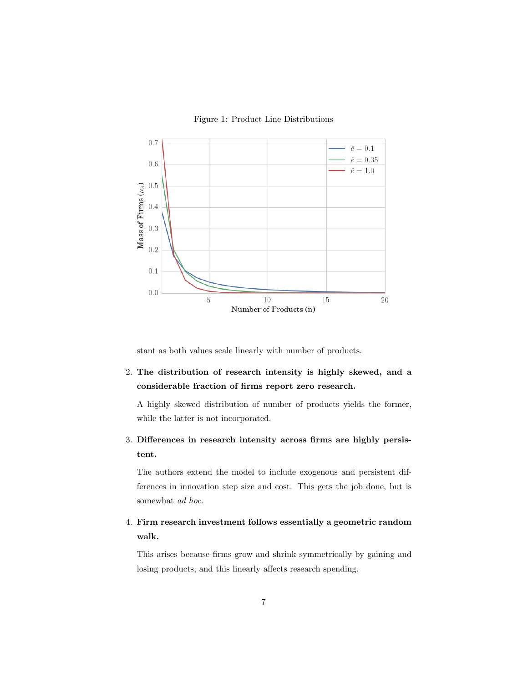



stant as both values scale linearly with number of products.

2. The distribution of research intensity is highly skewed, and a considerable fraction of firms report zero research.

A highly skewed distribution of number of products yields the former, while the latter is not incorporated.

3. Differences in research intensity across firms are highly persistent.

The authors extend the model to include exogenous and persistent differences in innovation step size and cost. This gets the job done, but is somewhat *ad hoc*.

4. Firm research investment follows essentially a geometric random walk.

This arises because firms grow and shrink symmetrically by gaining and losing products, and this linearly affects research spending.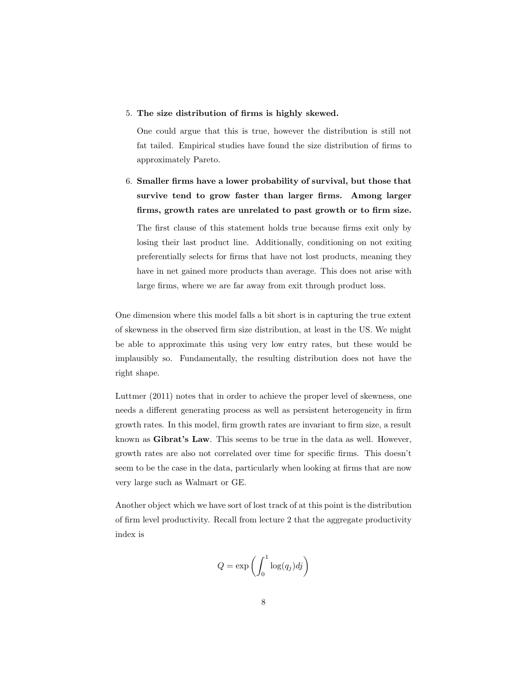#### 5. The size distribution of firms is highly skewed.

One could argue that this is true, however the distribution is still not fat tailed. Empirical studies have found the size distribution of firms to approximately Pareto.

6. Smaller firms have a lower probability of survival, but those that survive tend to grow faster than larger firms. Among larger firms, growth rates are unrelated to past growth or to firm size. The first clause of this statement holds true because firms exit only by losing their last product line. Additionally, conditioning on not exiting preferentially selects for firms that have not lost products, meaning they have in net gained more products than average. This does not arise with large firms, where we are far away from exit through product loss.

One dimension where this model falls a bit short is in capturing the true extent of skewness in the observed firm size distribution, at least in the US. We might be able to approximate this using very low entry rates, but these would be implausibly so. Fundamentally, the resulting distribution does not have the right shape.

Luttmer (2011) notes that in order to achieve the proper level of skewness, one needs a different generating process as well as persistent heterogeneity in firm growth rates. In this model, firm growth rates are invariant to firm size, a result known as Gibrat's Law. This seems to be true in the data as well. However, growth rates are also not correlated over time for specific firms. This doesn't seem to be the case in the data, particularly when looking at firms that are now very large such as Walmart or GE.

Another object which we have sort of lost track of at this point is the distribution of firm level productivity. Recall from lecture 2 that the aggregate productivity index is

$$
Q = \exp\left(\int_0^1 \log(q_j)dj\right)
$$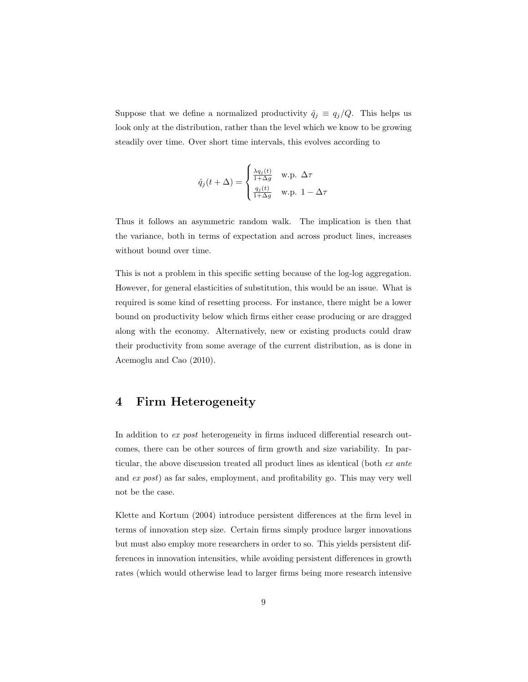Suppose that we define a normalized productivity  $\hat{q}_j \equiv q_j/Q$ . This helps us look only at the distribution, rather than the level which we know to be growing steadily over time. Over short time intervals, this evolves according to

$$
\hat{q}_j(t + \Delta) = \begin{cases} \frac{\lambda q_j(t)}{1 + \Delta g} & \text{w.p. } \Delta \tau \\ \frac{q_j(t)}{1 + \Delta g} & \text{w.p. } 1 - \Delta \tau \end{cases}
$$

Thus it follows an asymmetric random walk. The implication is then that the variance, both in terms of expectation and across product lines, increases without bound over time.

This is not a problem in this specific setting because of the log-log aggregation. However, for general elasticities of substitution, this would be an issue. What is required is some kind of resetting process. For instance, there might be a lower bound on productivity below which firms either cease producing or are dragged along with the economy. Alternatively, new or existing products could draw their productivity from some average of the current distribution, as is done in Acemoglu and Cao (2010).

#### 4 Firm Heterogeneity

In addition to ex post heterogeneity in firms induced differential research outcomes, there can be other sources of firm growth and size variability. In particular, the above discussion treated all product lines as identical (both ex ante and ex post) as far sales, employment, and profitability go. This may very well not be the case.

Klette and Kortum (2004) introduce persistent differences at the firm level in terms of innovation step size. Certain firms simply produce larger innovations but must also employ more researchers in order to so. This yields persistent differences in innovation intensities, while avoiding persistent differences in growth rates (which would otherwise lead to larger firms being more research intensive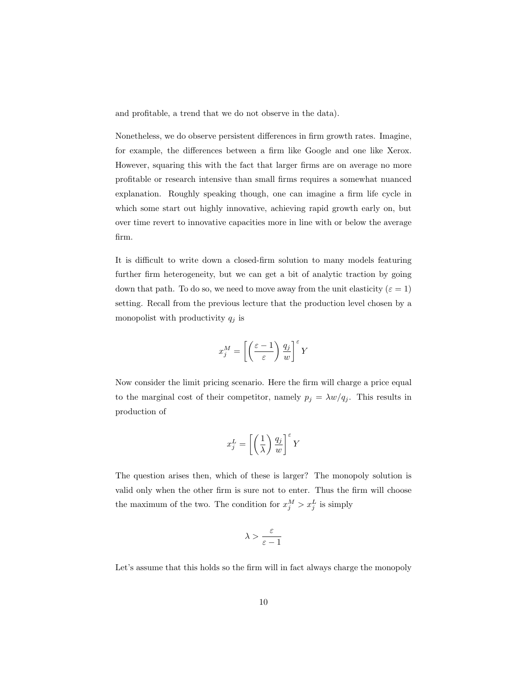and profitable, a trend that we do not observe in the data).

Nonetheless, we do observe persistent differences in firm growth rates. Imagine, for example, the differences between a firm like Google and one like Xerox. However, squaring this with the fact that larger firms are on average no more profitable or research intensive than small firms requires a somewhat nuanced explanation. Roughly speaking though, one can imagine a firm life cycle in which some start out highly innovative, achieving rapid growth early on, but over time revert to innovative capacities more in line with or below the average firm.

It is difficult to write down a closed-firm solution to many models featuring further firm heterogeneity, but we can get a bit of analytic traction by going down that path. To do so, we need to move away from the unit elasticity ( $\varepsilon = 1$ ) setting. Recall from the previous lecture that the production level chosen by a monopolist with productivity  $q_j$  is

$$
x_j^M = \left[ \left( \frac{\varepsilon - 1}{\varepsilon} \right) \frac{q_j}{w} \right]^\varepsilon Y
$$

Now consider the limit pricing scenario. Here the firm will charge a price equal to the marginal cost of their competitor, namely  $p_j = \lambda w/q_j$ . This results in production of

$$
x_j^L = \left[ \left( \frac{1}{\lambda} \right) \frac{q_j}{w} \right]^\varepsilon Y
$$

The question arises then, which of these is larger? The monopoly solution is valid only when the other firm is sure not to enter. Thus the firm will choose the maximum of the two. The condition for  $x_j^M > x_j^L$  is simply

$$
\lambda > \frac{\varepsilon}{\varepsilon - 1}
$$

Let's assume that this holds so the firm will in fact always charge the monopoly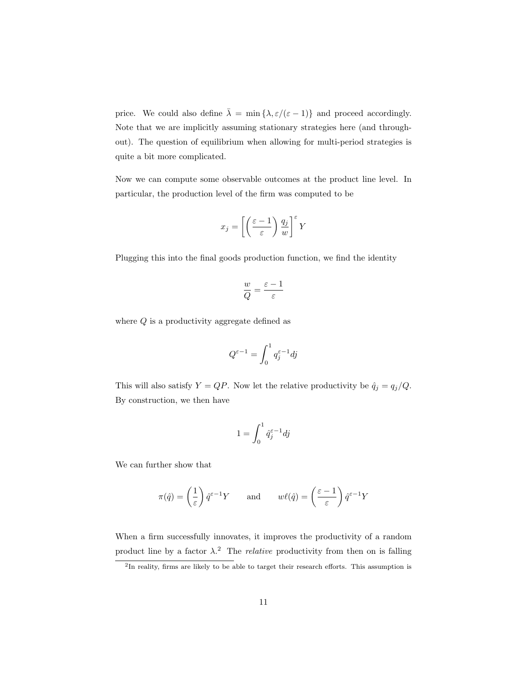price. We could also define  $\bar{\lambda} = \min \{ \lambda, \varepsilon/(\varepsilon - 1) \}$  and proceed accordingly. Note that we are implicitly assuming stationary strategies here (and throughout). The question of equilibrium when allowing for multi-period strategies is quite a bit more complicated.

Now we can compute some observable outcomes at the product line level. In particular, the production level of the firm was computed to be

$$
x_j = \left[ \left( \frac{\varepsilon - 1}{\varepsilon} \right) \frac{q_j}{w} \right]^\varepsilon Y
$$

Plugging this into the final goods production function, we find the identity

$$
\frac{w}{Q}=\frac{\varepsilon-1}{\varepsilon}
$$

where  $Q$  is a productivity aggregate defined as

$$
Q^{\varepsilon - 1} = \int_0^1 q_j^{\varepsilon - 1} dj
$$

This will also satisfy  $Y = QP$ . Now let the relative productivity be  $\hat{q}_j = q_j/Q$ . By construction, we then have

$$
1 = \int_0^1 \hat{q}_j^{\varepsilon - 1} dj
$$

We can further show that

$$
\pi(\hat{q}) = \left(\frac{1}{\varepsilon}\right)\hat{q}^{\varepsilon - 1}Y \quad \text{and} \quad w\ell(\hat{q}) = \left(\frac{\varepsilon - 1}{\varepsilon}\right)\hat{q}^{\varepsilon - 1}Y
$$

When a firm successfully innovates, it improves the productivity of a random product line by a factor  $\lambda$ <sup>2</sup>. The *relative* productivity from then on is falling

<sup>&</sup>lt;sup>2</sup>In reality, firms are likely to be able to target their research efforts. This assumption is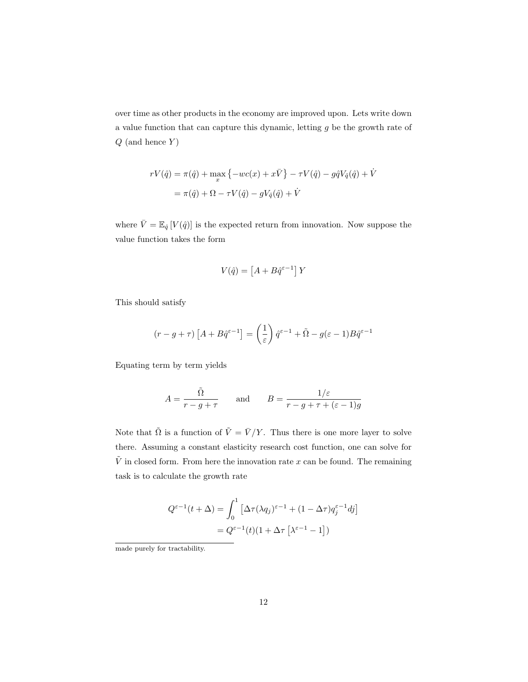over time as other products in the economy are improved upon. Lets write down a value function that can capture this dynamic, letting g be the growth rate of  $Q$  (and hence  $Y$ )

$$
rV(\hat{q}) = \pi(\hat{q}) + \max_{x} \{-wc(x) + x\overline{V}\} - \tau V(\hat{q}) - g\hat{q}V_{\hat{q}}(\hat{q}) + \dot{V}
$$

$$
= \pi(\hat{q}) + \Omega - \tau V(\hat{q}) - gV_{\hat{q}}(\hat{q}) + \dot{V}
$$

where  $\bar{V} = \mathbb{E}_{\hat{q}}[V(\hat{q})]$  is the expected return from innovation. Now suppose the value function takes the form

$$
V(\hat{q}) = \left[A + B\hat{q}^{\varepsilon - 1}\right]Y
$$

This should satisfy

$$
(r - g + \tau) \left[ A + B \hat{q}^{\varepsilon - 1} \right] = \left( \frac{1}{\varepsilon} \right) \hat{q}^{\varepsilon - 1} + \tilde{\Omega} - g(\varepsilon - 1) B \hat{q}^{\varepsilon - 1}
$$

Equating term by term yields

$$
A = \frac{\tilde{\Omega}}{r - g + \tau} \quad \text{and} \quad B = \frac{1/\varepsilon}{r - g + \tau + (\varepsilon - 1)g}
$$

Note that  $\tilde{\Omega}$  is a function of  $\tilde{V} = \bar{V}/Y$ . Thus there is one more layer to solve there. Assuming a constant elasticity research cost function, one can solve for  $\tilde{V}$  in closed form. From here the innovation rate x can be found. The remaining task is to calculate the growth rate

$$
Q^{\varepsilon-1}(t+\Delta) = \int_0^1 \left[ \Delta \tau (\lambda q_j)^{\varepsilon-1} + (1 - \Delta \tau) q_j^{\varepsilon-1} dj \right]
$$

$$
= Q^{\varepsilon-1}(t)(1 + \Delta \tau \left[ \lambda^{\varepsilon-1} - 1 \right])
$$

made purely for tractability.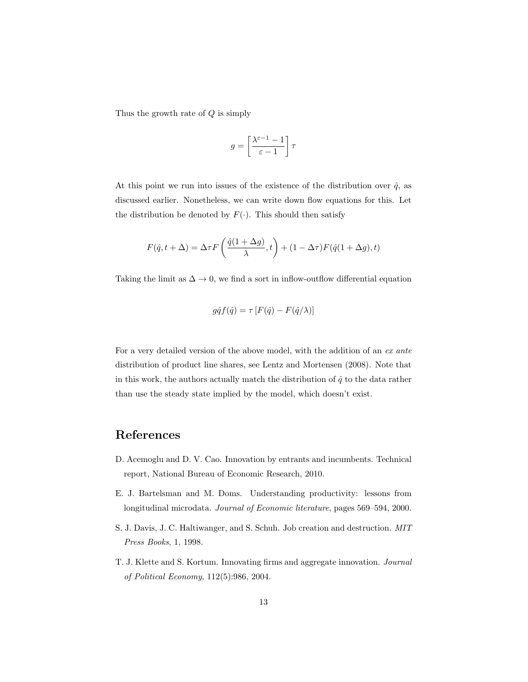Thus the growth rate of  $Q$  is simply

$$
g=\left[\frac{\lambda^{\varepsilon-1}-1}{\varepsilon-1}\right]\tau
$$

At this point we run into issues of the existence of the distribution over  $\hat{q}$ , as discussed earlier. Nonetheless, we can write down flow equations for this. Let the distribution be denoted by  $F(\cdot)$ . This should then satisfy

$$
F(\hat{q}, t + \Delta) = \Delta \tau F\left(\frac{\hat{q}(1 + \Delta g)}{\lambda}, t\right) + (1 - \Delta \tau)F(\hat{q}(1 + \Delta g), t)
$$

Taking the limit as  $\Delta \to 0$ , we find a sort in inflow-outflow differential equation

$$
g\hat{q}f(\hat{q}) = \tau [F(\hat{q}) - F(\hat{q}/\lambda)]
$$

For a very detailed version of the above model, with the addition of an ex ante distribution of product line shares, see Lentz and Mortensen (2008). Note that in this work, the authors actually match the distribution of  $\hat{q}$  to the data rather than use the steady state implied by the model, which doesn't exist.

# References

- D. Acemoglu and D. V. Cao. Innovation by entrants and incumbents. Technical report, National Bureau of Economic Research, 2010.
- E. J. Bartelsman and M. Doms. Understanding productivity: lessons from longitudinal microdata. Journal of Economic literature, pages 569–594, 2000.
- S. J. Davis, J. C. Haltiwanger, and S. Schuh. Job creation and destruction. MIT Press Books, 1, 1998.
- T. J. Klette and S. Kortum. Innovating firms and aggregate innovation. Journal of Political Economy, 112(5):986, 2004.